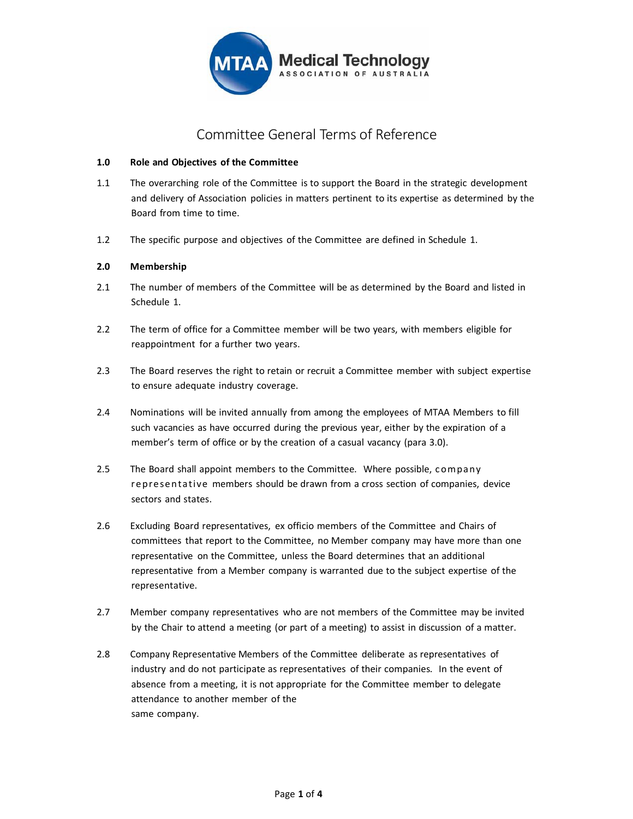

# Committee General Terms of Reference

## **1.0 Role and Objectives of the Committee**

- 1.1 The overarching role of the Committee is to support the Board in the strategic development and delivery of Association policies in matters pertinent to its expertise as determined by the Board from time to time.
- 1.2 The specific purpose and objectives of the Committee are defined in Schedule 1.

## **2.0 Membership**

- 2.1 The number of members of the Committee will be as determined by the Board and listed in Schedule 1.
- 2.2 The term of office for a Committee member will be two years, with members eligible for reappointment for a further two years.
- 2.3 The Board reserves the right to retain or recruit a Committee member with subject expertise to ensure adequate industry coverage.
- 2.4 Nominations will be invited annually from among the employees of MTAA Members to fill such vacancies as have occurred during the previous year, either by the expiration of a member's term of office or by the creation of a casual vacancy (para 3.0).
- 2.5 The Board shall appoint members to the Committee. Where possible, company representative members should be drawn from a cross section of companies, device sectors and states.
- 2.6 Excluding Board representatives, ex officio members of the Committee and Chairs of committees that report to the Committee, no Member company may have more than one representative on the Committee, unless the Board determines that an additional representative from a Member company is warranted due to the subject expertise of the representative.
- 2.7 Member company representatives who are not members of the Committee may be invited by the Chair to attend a meeting (or part of a meeting) to assist in discussion of a matter.
- 2.8 Company Representative Members of the Committee deliberate as representatives of industry and do not participate as representatives of their companies. In the event of absence from a meeting, it is not appropriate for the Committee member to delegate attendance to another member of the same company.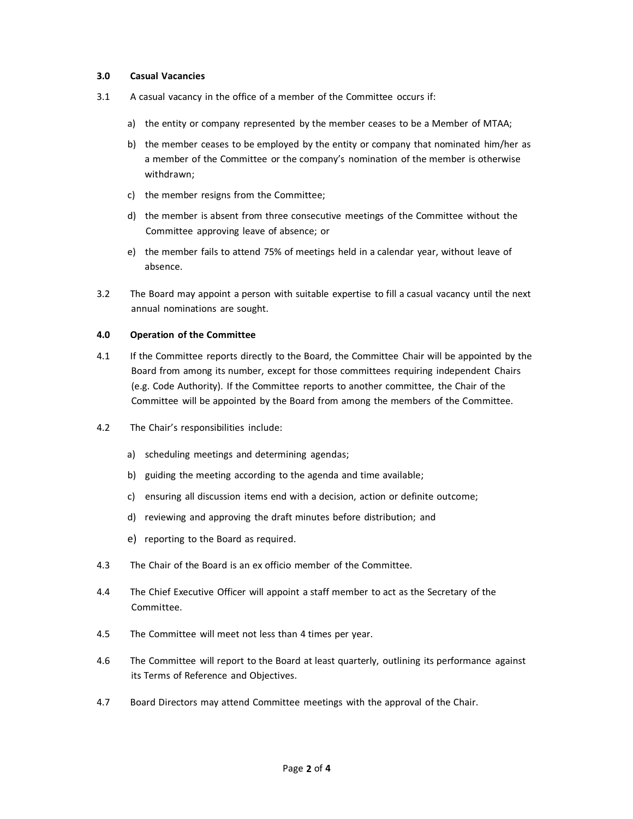#### **3.0 Casual Vacancies**

- 3.1 A casual vacancy in the office of a member of the Committee occurs if:
	- a) the entity or company represented by the member ceases to be a Member of MTAA;
	- b) the member ceases to be employed by the entity or company that nominated him/her as a member of the Committee or the company's nomination of the member is otherwise withdrawn;
	- c) the member resigns from the Committee;
	- d) the member is absent from three consecutive meetings of the Committee without the Committee approving leave of absence; or
	- e) the member fails to attend 75% of meetings held in a calendar year, without leave of absence.
- 3.2 The Board may appoint a person with suitable expertise to fill a casual vacancy until the next annual nominations are sought.

#### **4.0 Operation of the Committee**

- 4.1 If the Committee reports directly to the Board, the Committee Chair will be appointed by the Board from among its number, except for those committees requiring independent Chairs (e.g. Code Authority). If the Committee reports to another committee, the Chair of the Committee will be appointed by the Board from among the members of the Committee.
- 4.2 The Chair's responsibilities include:
	- a) scheduling meetings and determining agendas;
	- b) guiding the meeting according to the agenda and time available;
	- c) ensuring all discussion items end with a decision, action or definite outcome;
	- d) reviewing and approving the draft minutes before distribution; and
	- e) reporting to the Board as required.
- 4.3 The Chair of the Board is an ex officio member of the Committee.
- 4.4 The Chief Executive Officer will appoint a staff member to act as the Secretary of the Committee.
- 4.5 The Committee will meet not less than 4 times per year.
- 4.6 The Committee will report to the Board at least quarterly, outlining its performance against its Terms of Reference and Objectives.
- 4.7 Board Directors may attend Committee meetings with the approval of the Chair.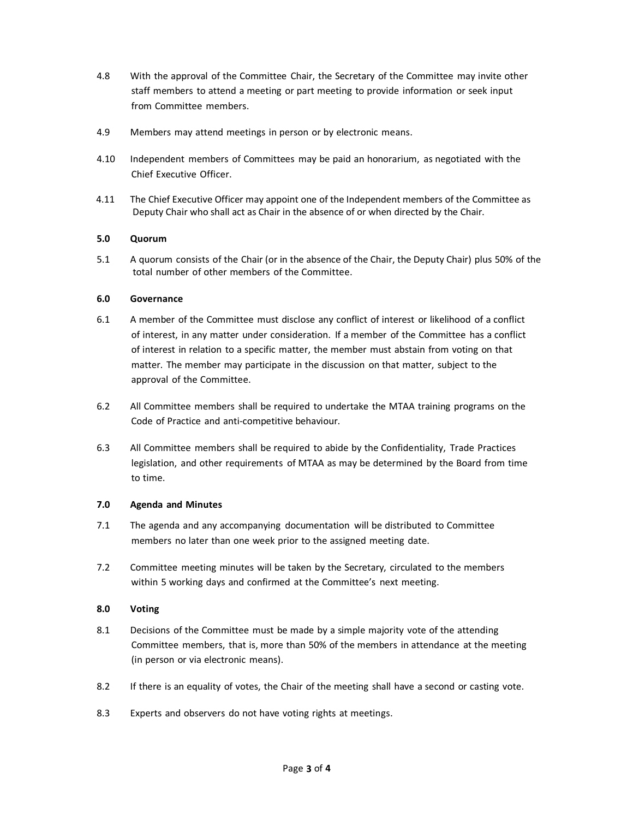- 4.8 With the approval of the Committee Chair, the Secretary of the Committee may invite other staff members to attend a meeting or part meeting to provide information or seek input from Committee members.
- 4.9 Members may attend meetings in person or by electronic means.
- 4.10 Independent members of Committees may be paid an honorarium, as negotiated with the Chief Executive Officer.
- 4.11 The Chief Executive Officer may appoint one of the Independent members of the Committee as Deputy Chair who shall act as Chair in the absence of or when directed by the Chair.

## **5.0 Quorum**

5.1 A quorum consists of the Chair (or in the absence of the Chair, the Deputy Chair) plus 50% of the total number of other members of the Committee.

## **6.0 Governance**

- 6.1 A member of the Committee must disclose any conflict of interest or likelihood of a conflict of interest, in any matter under consideration. If a member of the Committee has a conflict of interest in relation to a specific matter, the member must abstain from voting on that matter. The member may participate in the discussion on that matter, subject to the approval of the Committee.
- 6.2 All Committee members shall be required to undertake the MTAA training programs on the Code of Practice and anti‐competitive behaviour.
- 6.3 All Committee members shall be required to abide by the Confidentiality, Trade Practices legislation, and other requirements of MTAA as may be determined by the Board from time to time.

### **7.0 Agenda and Minutes**

- 7.1 The agenda and any accompanying documentation will be distributed to Committee members no later than one week prior to the assigned meeting date.
- 7.2 Committee meeting minutes will be taken by the Secretary, circulated to the members within 5 working days and confirmed at the Committee's next meeting.

### **8.0 Voting**

- 8.1 Decisions of the Committee must be made by a simple majority vote of the attending Committee members, that is, more than 50% of the members in attendance at the meeting (in person or via electronic means).
- 8.2 If there is an equality of votes, the Chair of the meeting shall have a second or casting vote.
- 8.3 Experts and observers do not have voting rights at meetings.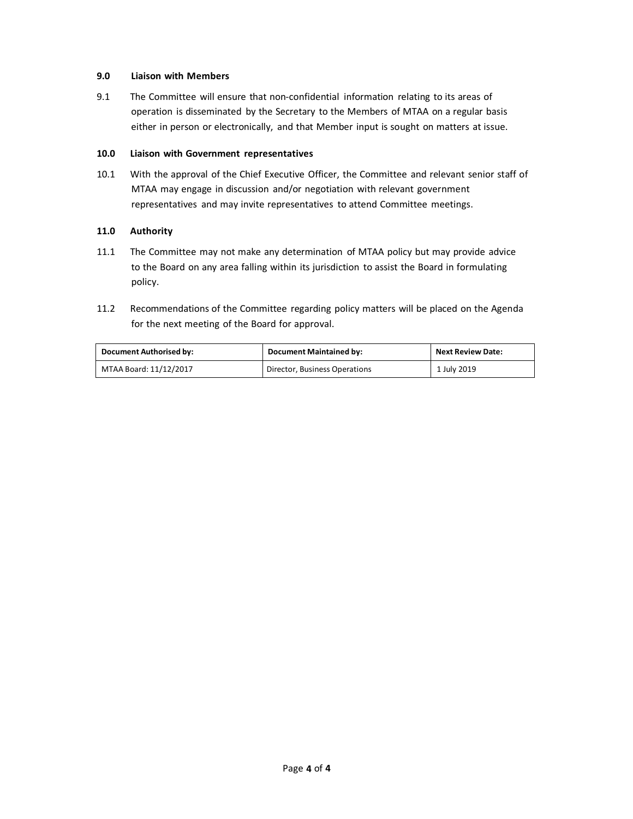## **9.0 Liaison with Members**

9.1 The Committee will ensure that non-confidential information relating to its areas of operation is disseminated by the Secretary to the Members of MTAA on a regular basis either in person or electronically, and that Member input is sought on matters at issue.

### **10.0 Liaison with Government representatives**

10.1 With the approval of the Chief Executive Officer, the Committee and relevant senior staff of MTAA may engage in discussion and/or negotiation with relevant government representatives and may invite representatives to attend Committee meetings.

### **11.0 Authority**

- 11.1 The Committee may not make any determination of MTAA policy but may provide advice to the Board on any area falling within its jurisdiction to assist the Board in formulating policy.
- 11.2 Recommendations of the Committee regarding policy matters will be placed on the Agenda for the next meeting of the Board for approval.

| <b>Document Authorised by:</b> | <b>Document Maintained by:</b> | <b>Next Review Date:</b> |
|--------------------------------|--------------------------------|--------------------------|
| MTAA Board: 11/12/2017         | Director, Business Operations  | 1 July 2019              |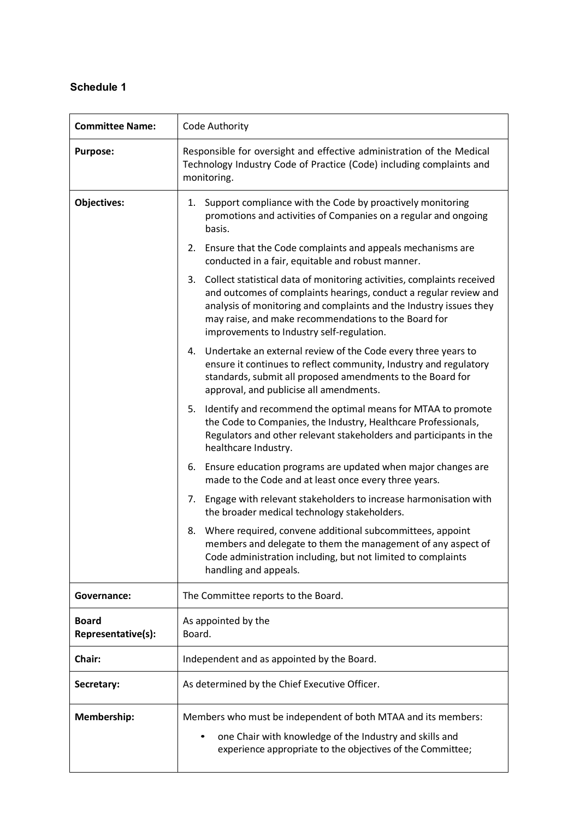# **Schedule 1**

| <b>Committee Name:</b>             | Code Authority                                                                                                                                                                                                                                                                                                            |  |
|------------------------------------|---------------------------------------------------------------------------------------------------------------------------------------------------------------------------------------------------------------------------------------------------------------------------------------------------------------------------|--|
| <b>Purpose:</b>                    | Responsible for oversight and effective administration of the Medical<br>Technology Industry Code of Practice (Code) including complaints and<br>monitoring.                                                                                                                                                              |  |
| <b>Objectives:</b>                 | Support compliance with the Code by proactively monitoring<br>1.<br>promotions and activities of Companies on a regular and ongoing<br>basis.                                                                                                                                                                             |  |
|                                    | Ensure that the Code complaints and appeals mechanisms are<br>2.<br>conducted in a fair, equitable and robust manner.                                                                                                                                                                                                     |  |
|                                    | 3. Collect statistical data of monitoring activities, complaints received<br>and outcomes of complaints hearings, conduct a regular review and<br>analysis of monitoring and complaints and the Industry issues they<br>may raise, and make recommendations to the Board for<br>improvements to Industry self-regulation. |  |
|                                    | 4. Undertake an external review of the Code every three years to<br>ensure it continues to reflect community, Industry and regulatory<br>standards, submit all proposed amendments to the Board for<br>approval, and publicise all amendments.                                                                            |  |
|                                    | 5. Identify and recommend the optimal means for MTAA to promote<br>the Code to Companies, the Industry, Healthcare Professionals,<br>Regulators and other relevant stakeholders and participants in the<br>healthcare Industry.                                                                                           |  |
|                                    | 6. Ensure education programs are updated when major changes are<br>made to the Code and at least once every three years.                                                                                                                                                                                                  |  |
|                                    | 7. Engage with relevant stakeholders to increase harmonisation with<br>the broader medical technology stakeholders.                                                                                                                                                                                                       |  |
|                                    | Where required, convene additional subcommittees, appoint<br>8.<br>members and delegate to them the management of any aspect of<br>Code administration including, but not limited to complaints<br>handling and appeals.                                                                                                  |  |
| Governance:                        | The Committee reports to the Board.                                                                                                                                                                                                                                                                                       |  |
| <b>Board</b><br>Representative(s): | As appointed by the<br>Board.                                                                                                                                                                                                                                                                                             |  |
| Chair:                             | Independent and as appointed by the Board.                                                                                                                                                                                                                                                                                |  |
| Secretary:                         | As determined by the Chief Executive Officer.                                                                                                                                                                                                                                                                             |  |
| Membership:                        | Members who must be independent of both MTAA and its members:<br>one Chair with knowledge of the Industry and skills and<br>experience appropriate to the objectives of the Committee;                                                                                                                                    |  |